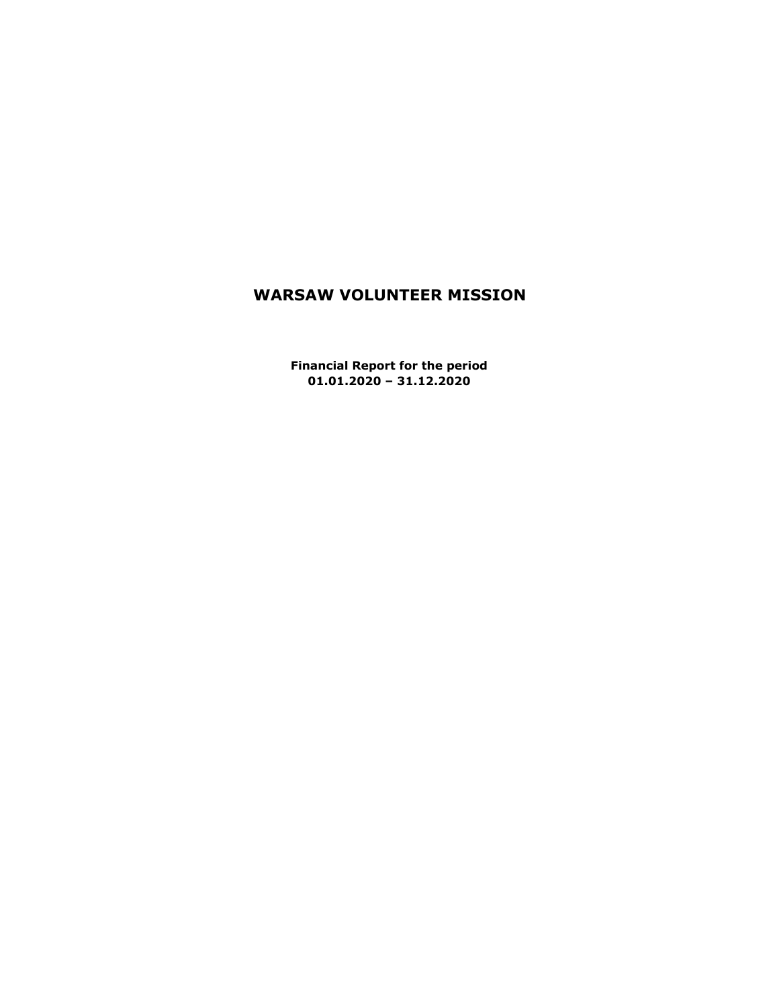# **WARSAW VOLUNTEER MISSION**

**Financial Report for the period 01.01.2020 – 31.12.2020**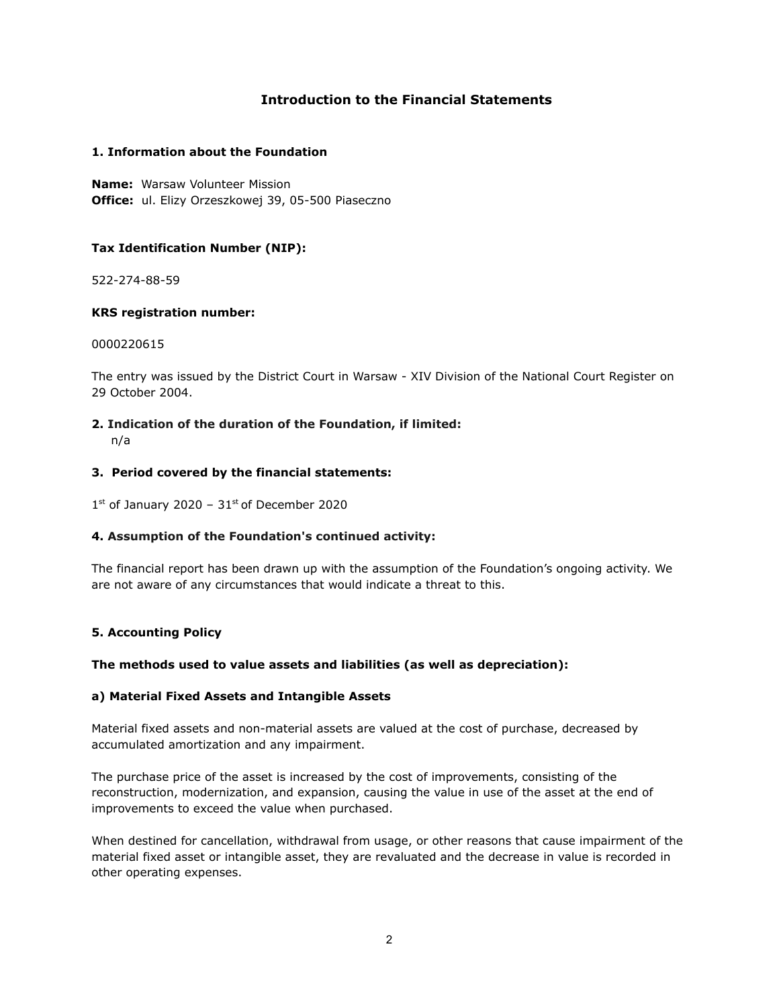## **Introduction to the Financial Statements**

## **1. Information about the Foundation**

**Name:** Warsaw Volunteer Mission **Office:** ul. Elizy Orzeszkowej 39, 05-500 Piaseczno

## **Tax Identification Number (NIP):**

522-274-88-59

## **KRS registration number:**

0000220615

The entry was issued by the District Court in Warsaw - XIV Division of the National Court Register on 29 October 2004.

- **2. Indication of the duration of the Foundation, if limited:**
	- n/a

## **3. Period covered by the financial statements:**

 $1<sup>st</sup>$  of January 2020 – 31 $<sup>st</sup>$  of December 2020</sup>

## **4. Assumption of the Foundation's continued activity:**

The financial report has been drawn up with the assumption of the Foundation's ongoing activity. We are not aware of any circumstances that would indicate a threat to this.

## **5. Accounting Policy**

## **The methods used to value assets and liabilities (as well as depreciation):**

## **a) Material Fixed Assets and Intangible Assets**

Material fixed assets and non-material assets are valued at the cost of purchase, decreased by accumulated amortization and any impairment.

The purchase price of the asset is increased by the cost of improvements, consisting of the reconstruction, modernization, and expansion, causing the value in use of the asset at the end of improvements to exceed the value when purchased.

When destined for cancellation, withdrawal from usage, or other reasons that cause impairment of the material fixed asset or intangible asset, they are revaluated and the decrease in value is recorded in other operating expenses.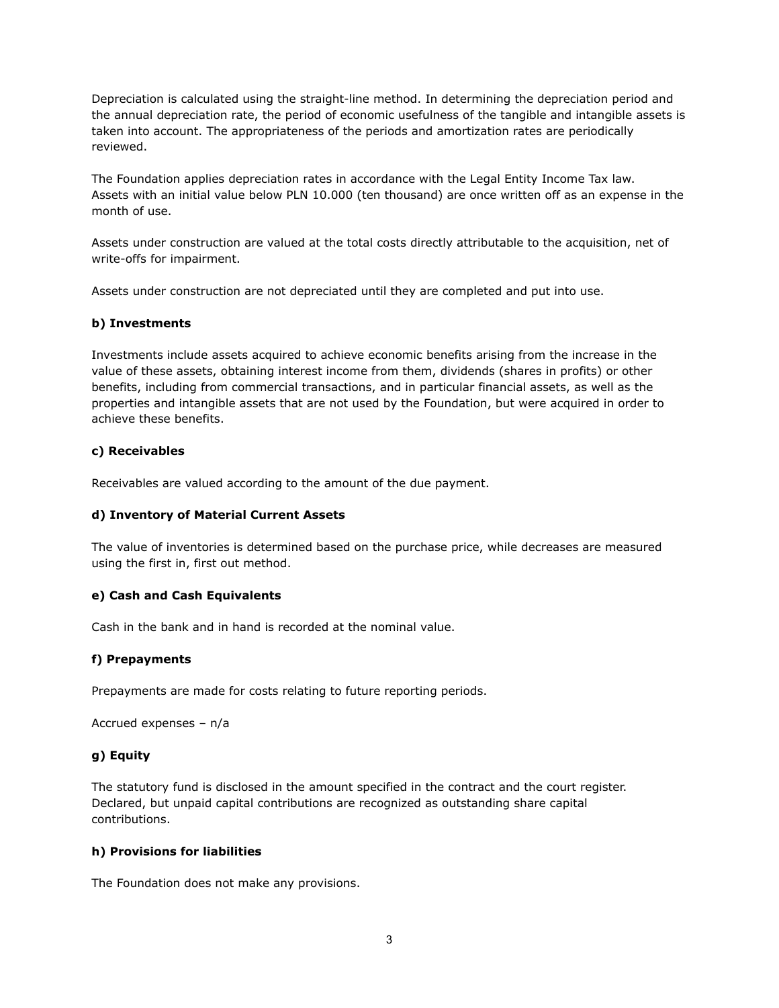Depreciation is calculated using the straight-line method. In determining the depreciation period and the annual depreciation rate, the period of economic usefulness of the tangible and intangible assets is taken into account. The appropriateness of the periods and amortization rates are periodically reviewed.

The Foundation applies depreciation rates in accordance with the Legal Entity Income Tax law. Assets with an initial value below PLN 10.000 (ten thousand) are once written off as an expense in the month of use.

Assets under construction are valued at the total costs directly attributable to the acquisition, net of write-offs for impairment.

Assets under construction are not depreciated until they are completed and put into use.

## **b) Investments**

Investments include assets acquired to achieve economic benefits arising from the increase in the value of these assets, obtaining interest income from them, dividends (shares in profits) or other benefits, including from commercial transactions, and in particular financial assets, as well as the properties and intangible assets that are not used by the Foundation, but were acquired in order to achieve these benefits.

## **c) Receivables**

Receivables are valued according to the amount of the due payment.

## **d) Inventory of Material Current Assets**

The value of inventories is determined based on the purchase price, while decreases are measured using the first in, first out method.

#### **e) Cash and Cash Equivalents**

Cash in the bank and in hand is recorded at the nominal value.

#### **f) Prepayments**

Prepayments are made for costs relating to future reporting periods.

```
Accrued expenses – n/a
```
## **g) Equity**

The statutory fund is disclosed in the amount specified in the contract and the court register. Declared, but unpaid capital contributions are recognized as outstanding share capital contributions.

#### **h) Provisions for liabilities**

The Foundation does not make any provisions.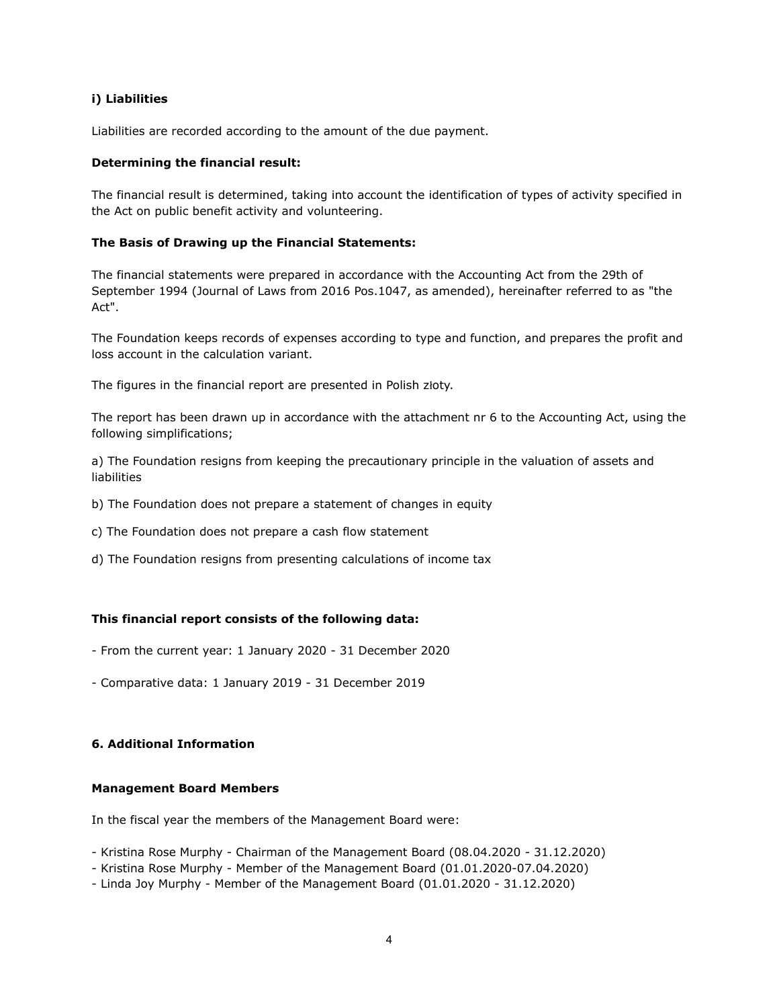## **i) Liabilities**

Liabilities are recorded according to the amount of the due payment.

### **Determining the financial result:**

The financial result is determined, taking into account the identification of types of activity specified in the Act on public benefit activity and volunteering.

#### **The Basis of Drawing up the Financial Statements:**

The financial statements were prepared in accordance with the Accounting Act from the 29th of September 1994 (Journal of Laws from 2016 Pos.1047, as amended), hereinafter referred to as "the Act".

The Foundation keeps records of expenses according to type and function, and prepares the profit and loss account in the calculation variant.

The figures in the financial report are presented in Polish złoty.

The report has been drawn up in accordance with the attachment nr 6 to the Accounting Act, using the following simplifications;

a) The Foundation resigns from keeping the precautionary principle in the valuation of assets and liabilities

- b) The Foundation does not prepare a statement of changes in equity
- c) The Foundation does not prepare a cash flow statement
- d) The Foundation resigns from presenting calculations of income tax

## **This financial report consists of the following data:**

- From the current year: 1 January 2020 31 December 2020
- Comparative data: 1 January 2019 31 December 2019

## **6. Additional Information**

#### **Management Board Members**

In the fiscal year the members of the Management Board were:

- Kristina Rose Murphy Chairman of the Management Board (08.04.2020 31.12.2020)
- Kristina Rose Murphy Member of the Management Board (01.01.2020-07.04.2020)
- Linda Joy Murphy Member of the Management Board (01.01.2020 31.12.2020)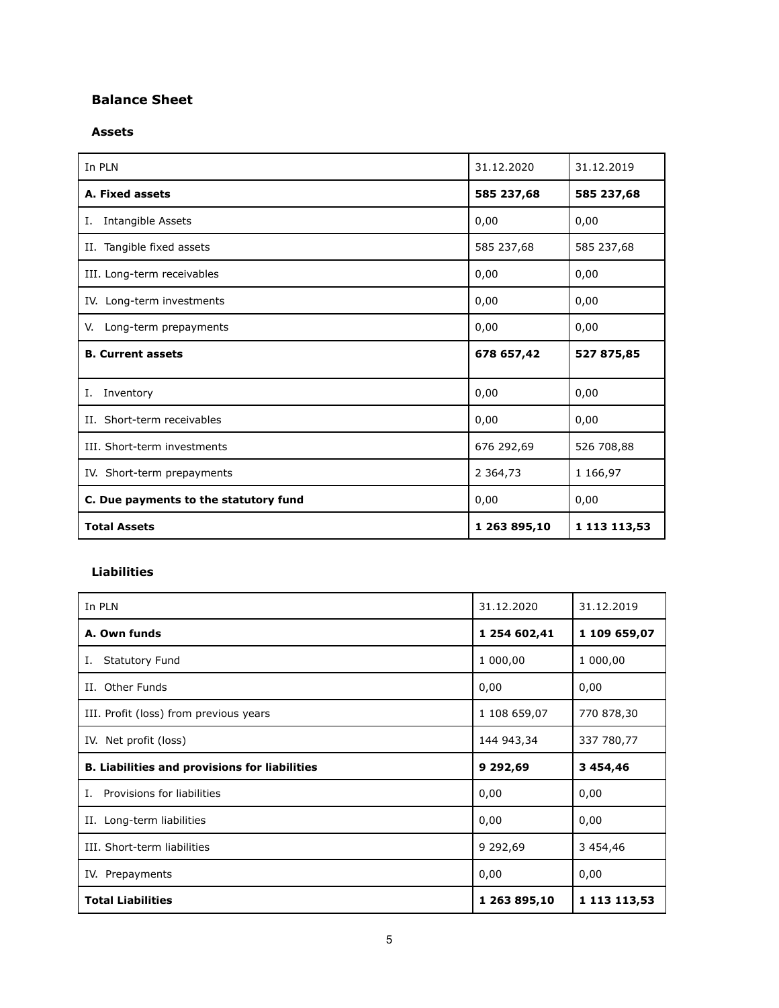## **Balance Sheet**

## **Assets**

| In PLN                                | 31.12.2020    | 31.12.2019   |
|---------------------------------------|---------------|--------------|
| A. Fixed assets                       | 585 237,68    | 585 237,68   |
| Intangible Assets<br>Ι.               | 0,00          | 0,00         |
| II. Tangible fixed assets             | 585 237,68    | 585 237,68   |
| III. Long-term receivables            | 0,00          | 0,00         |
| IV. Long-term investments             | 0,00          | 0,00         |
| Long-term prepayments<br>V.           | 0,00          | 0,00         |
| <b>B. Current assets</b>              | 678 657,42    | 527 875,85   |
| Inventory<br>I.                       | 0,00          | 0,00         |
| II. Short-term receivables            | 0,00          | 0,00         |
| III. Short-term investments           | 676 292,69    | 526 708,88   |
| IV. Short-term prepayments            | 2 3 6 4 , 7 3 | 1 166,97     |
| C. Due payments to the statutory fund | 0,00          | 0,00         |
| <b>Total Assets</b>                   | 1 263 895,10  | 1 113 113,53 |

## **Liabilities**

| In PLN                                               | 31.12.2020   | 31.12.2019    |
|------------------------------------------------------|--------------|---------------|
| A. Own funds                                         | 1 254 602,41 | 1 109 659,07  |
| <b>Statutory Fund</b><br>Ι.                          | 1 000,00     | 1 000,00      |
| Other Funds<br>Н.                                    | 0,00         | 0,00          |
| III. Profit (loss) from previous years               | 1 108 659,07 | 770 878,30    |
| IV. Net profit (loss)                                | 144 943,34   | 337 780,77    |
| <b>B. Liabilities and provisions for liabilities</b> | 9 29 2,69    | 3 4 5 4 , 4 6 |
| Provisions for liabilities<br>Ι.                     | 0,00         | 0,00          |
| II. Long-term liabilities                            | 0,00         | 0,00          |
| III. Short-term liabilities                          | 9 292,69     | 3 454,46      |
| IV. Prepayments                                      | 0,00         | 0,00          |
| <b>Total Liabilities</b>                             | 1 263 895,10 | 1 113 113,53  |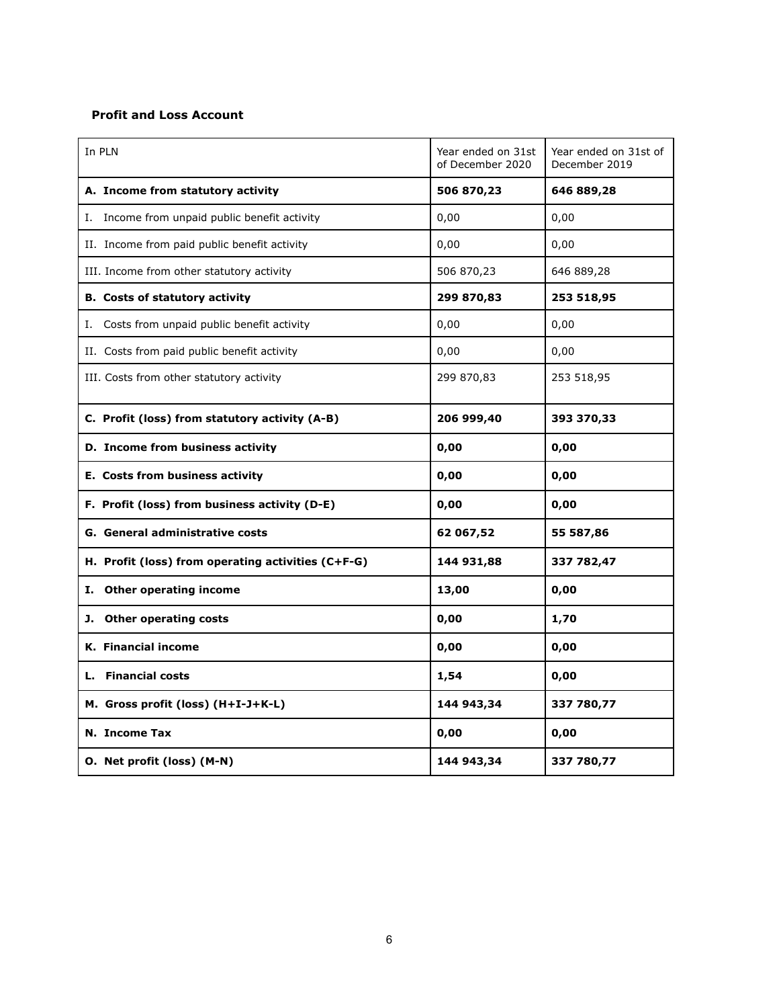## **Profit and Loss Account**

| In PLN                                             | Year ended on 31st<br>of December 2020 | Year ended on 31st of<br>December 2019 |
|----------------------------------------------------|----------------------------------------|----------------------------------------|
| A. Income from statutory activity                  | 506 870,23                             | 646 889,28                             |
| I. Income from unpaid public benefit activity      | 0,00                                   | 0,00                                   |
| II. Income from paid public benefit activity       | 0,00                                   | 0,00                                   |
| III. Income from other statutory activity          | 506 870,23                             | 646 889,28                             |
| <b>B.</b> Costs of statutory activity              | 299 870,83                             | 253 518,95                             |
| Costs from unpaid public benefit activity<br>Ι.    | 0,00                                   | 0,00                                   |
| II. Costs from paid public benefit activity        | 0,00                                   | 0,00                                   |
| III. Costs from other statutory activity           | 299 870,83                             | 253 518,95                             |
| C. Profit (loss) from statutory activity (A-B)     | 206 999,40                             | 393 370,33                             |
| D. Income from business activity                   | 0,00                                   | 0,00                                   |
| E. Costs from business activity                    | 0,00                                   | 0,00                                   |
| F. Profit (loss) from business activity (D-E)      | 0,00                                   | 0,00                                   |
| G. General administrative costs                    | 62 067,52                              | 55 587,86                              |
| H. Profit (loss) from operating activities (C+F-G) | 144 931,88                             | 337 782,47                             |
| I. Other operating income                          | 13,00                                  | 0,00                                   |
| J. Other operating costs                           | 0,00                                   | 1,70                                   |
| <b>K.</b> Financial income                         | 0,00                                   | 0,00                                   |
| L. Financial costs                                 | 1,54                                   | 0,00                                   |
| M. Gross profit (loss) (H+I-J+K-L)                 | 144 943,34                             | 337 780,77                             |
| N. Income Tax                                      | 0,00                                   | 0,00                                   |
| O. Net profit (loss) (M-N)                         | 144 943,34                             | 337 780,77                             |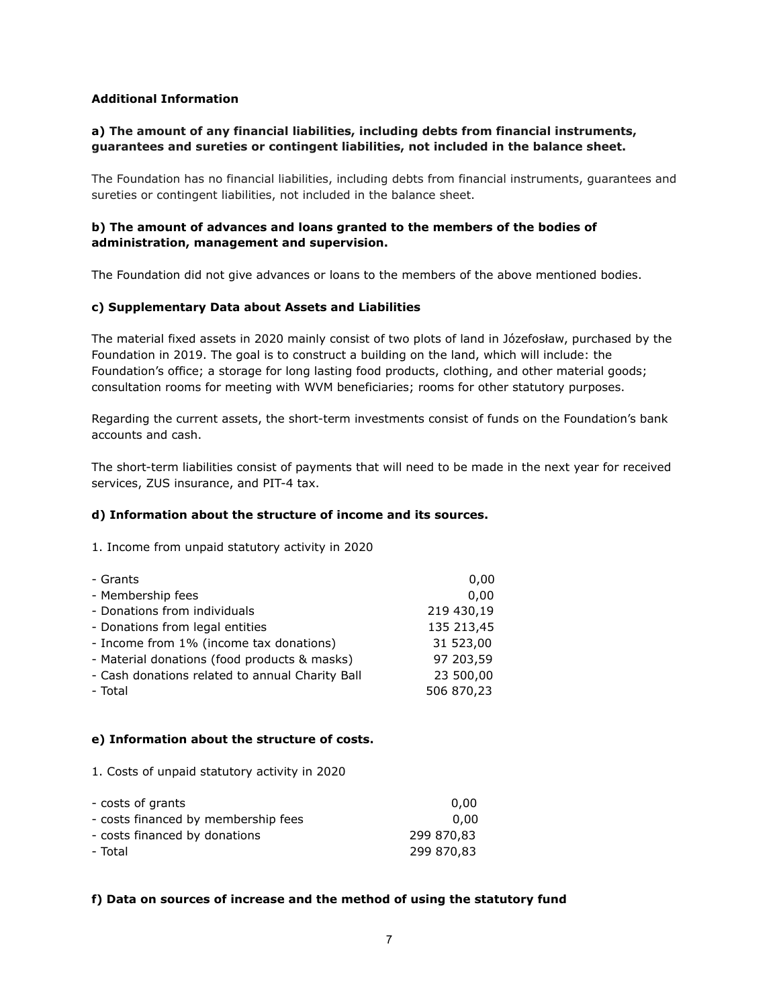## **Additional Information**

## **a) The amount of any financial liabilities, including debts from financial instruments, guarantees and sureties or contingent liabilities, not included in the balance sheet.**

The Foundation has no financial liabilities, including debts from financial instruments, guarantees and sureties or contingent liabilities, not included in the balance sheet.

## **b) The amount of advances and loans granted to the members of the bodies of administration, management and supervision.**

The Foundation did not give advances or loans to the members of the above mentioned bodies.

## **c) Supplementary Data about Assets and Liabilities**

The material fixed assets in 2020 mainly consist of two plots of land in Józefosław, purchased by the Foundation in 2019. The goal is to construct a building on the land, which will include: the Foundation's office; a storage for long lasting food products, clothing, and other material goods; consultation rooms for meeting with WVM beneficiaries; rooms for other statutory purposes.

Regarding the current assets, the short-term investments consist of funds on the Foundation's bank accounts and cash.

The short-term liabilities consist of payments that will need to be made in the next year for received services, ZUS insurance, and PIT-4 tax.

## **d) Information about the structure of income and its sources.**

1. Income from unpaid statutory activity in 2020

| - Grants                                        | 0,00       |
|-------------------------------------------------|------------|
| - Membership fees                               | 0.00       |
| - Donations from individuals                    | 219 430,19 |
| - Donations from legal entities                 | 135 213,45 |
| - Income from 1% (income tax donations)         | 31 523,00  |
| - Material donations (food products & masks)    | 97 203,59  |
| - Cash donations related to annual Charity Ball | 23 500,00  |
| - Total                                         | 506 870,23 |

## **e) Information about the structure of costs.**

1. Costs of unpaid statutory activity in 2020

| - costs of grants                   | 0.00       |
|-------------------------------------|------------|
| - costs financed by membership fees | 0.00       |
| - costs financed by donations       | 299 870.83 |
| - Total                             | 299 870.83 |

## **f) Data on sources of increase and the method of using the statutory fund**